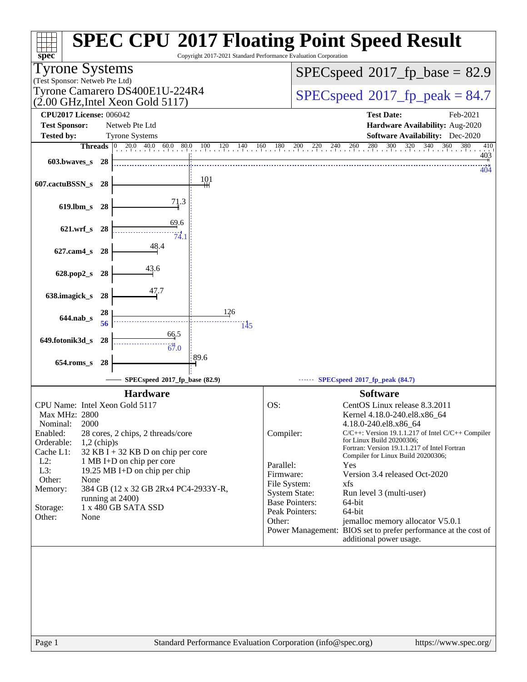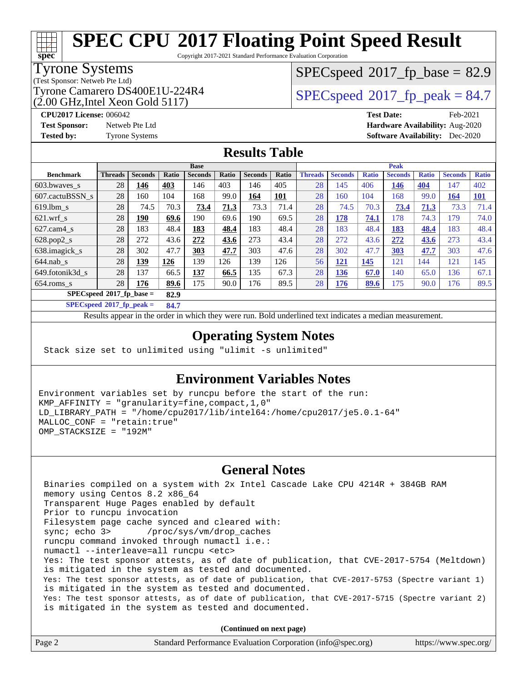Copyright 2017-2021 Standard Performance Evaluation Corporation

#### Tyrone Systems

**[spec](http://www.spec.org/)**

(Test Sponsor: Netweb Pte Ltd)

(2.00 GHz,Intel Xeon Gold 5117)

 $SPECspeed*2017_fp\_base = 82.9$  $SPECspeed*2017_fp\_base = 82.9$ 

### Tyrone Camarero DS400E1U-224R4  $\vert$  [SPECspeed](http://www.spec.org/auto/cpu2017/Docs/result-fields.html#SPECspeed2017fppeak)®[2017\\_fp\\_peak = 8](http://www.spec.org/auto/cpu2017/Docs/result-fields.html#SPECspeed2017fppeak)4.7

**[CPU2017 License:](http://www.spec.org/auto/cpu2017/Docs/result-fields.html#CPU2017License)** 006042 **[Test Date:](http://www.spec.org/auto/cpu2017/Docs/result-fields.html#TestDate)** Feb-2021 **[Test Sponsor:](http://www.spec.org/auto/cpu2017/Docs/result-fields.html#TestSponsor)** Netweb Pte Ltd **[Hardware Availability:](http://www.spec.org/auto/cpu2017/Docs/result-fields.html#HardwareAvailability)** Aug-2020 **[Tested by:](http://www.spec.org/auto/cpu2017/Docs/result-fields.html#Testedby)** Tyrone Systems **[Software Availability:](http://www.spec.org/auto/cpu2017/Docs/result-fields.html#SoftwareAvailability)** Dec-2020

#### **[Results Table](http://www.spec.org/auto/cpu2017/Docs/result-fields.html#ResultsTable)**

|                                     | <b>Base</b>    |                |       |                |              | <b>Peak</b>    |            |                |                |              |                |              |                |              |
|-------------------------------------|----------------|----------------|-------|----------------|--------------|----------------|------------|----------------|----------------|--------------|----------------|--------------|----------------|--------------|
| <b>Benchmark</b>                    | <b>Threads</b> | <b>Seconds</b> | Ratio | <b>Seconds</b> | <b>Ratio</b> | <b>Seconds</b> | Ratio      | <b>Threads</b> | <b>Seconds</b> | <b>Ratio</b> | <b>Seconds</b> | <b>Ratio</b> | <b>Seconds</b> | <b>Ratio</b> |
| $603.bwaves$ s                      | 28             | 146            | 403   | 146            | 403          | 146            | 405        | 28             | 145            | 406          | 146            | 404          | 147            | 402          |
| 607.cactuBSSN s                     | 28             | 160            | 104   | 168            | 99.0         | 164            | <b>101</b> | 28             | 160            | 104          | 168            | 99.0         | 164            | <b>101</b>   |
| $619.1$ bm s                        | 28             | 74.5           | 70.3  | 73.4           | 71.3         | 73.3           | 71.4       | 28             | 74.5           | 70.3         | 73.4           | 71.3         | 73.3           | 71.4         |
| $621$ .wrf s                        | 28             | 190            | 69.6  | 190            | 69.6         | 190            | 69.5       | 28             | 178            | 74.1         | 178            | 74.3         | 179            | 74.0         |
| $627.cam4_s$                        | 28             | 183            | 48.4  | 183            | 48.4         | 183            | 48.4       | 28             | 183            | 48.4         | 183            | 48.4         | 183            | 48.4         |
| $628.pop2_s$                        | 28             | 272            | 43.6  | 272            | 43.6         | 273            | 43.4       | 28             | 272            | 43.6         | 272            | 43.6         | 273            | 43.4         |
| 638.imagick_s                       | 28             | 302            | 47.7  | 303            | 47.7         | 303            | 47.6       | 28             | 302            | 47.7         | 303            | 47.7         | 303            | 47.6         |
| $644$ .nab s                        | 28             | 139            | 126   | 139            | 126          | 139            | 126        | 56             | <u>121</u>     | 145          | 121            | 144          | 121            | 145          |
| 649.fotonik3d s                     | 28             | 137            | 66.5  | 137            | 66.5         | 135            | 67.3       | 28             | <u>136</u>     | 67.0         | 140            | 65.0         | 136            | 67.1         |
| $654$ .roms s                       | 28             | 176            | 89.6  | 175            | 90.0         | 176            | 89.5       | 28             | <u>176</u>     | 89.6         | 175            | 90.0         | 176            | 89.5         |
| $SPECspeed^*2017$ fp base =<br>82.9 |                |                |       |                |              |                |            |                |                |              |                |              |                |              |

**[SPECspeed](http://www.spec.org/auto/cpu2017/Docs/result-fields.html#SPECspeed2017fppeak)[2017\\_fp\\_peak =](http://www.spec.org/auto/cpu2017/Docs/result-fields.html#SPECspeed2017fppeak) 84.7**

Results appear in the [order in which they were run.](http://www.spec.org/auto/cpu2017/Docs/result-fields.html#RunOrder) Bold underlined text [indicates a median measurement](http://www.spec.org/auto/cpu2017/Docs/result-fields.html#Median).

#### **[Operating System Notes](http://www.spec.org/auto/cpu2017/Docs/result-fields.html#OperatingSystemNotes)**

Stack size set to unlimited using "ulimit -s unlimited"

#### **[Environment Variables Notes](http://www.spec.org/auto/cpu2017/Docs/result-fields.html#EnvironmentVariablesNotes)**

Environment variables set by runcpu before the start of the run: KMP\_AFFINITY = "granularity=fine,compact,1,0" LD\_LIBRARY\_PATH = "/home/cpu2017/lib/intel64:/home/cpu2017/je5.0.1-64" MALLOC\_CONF = "retain:true" OMP\_STACKSIZE = "192M"

### **[General Notes](http://www.spec.org/auto/cpu2017/Docs/result-fields.html#GeneralNotes)**

 Binaries compiled on a system with 2x Intel Cascade Lake CPU 4214R + 384GB RAM memory using Centos 8.2 x86\_64 Transparent Huge Pages enabled by default Prior to runcpu invocation Filesystem page cache synced and cleared with: sync; echo 3> /proc/sys/vm/drop\_caches runcpu command invoked through numactl i.e.: numactl --interleave=all runcpu <etc> Yes: The test sponsor attests, as of date of publication, that CVE-2017-5754 (Meltdown) is mitigated in the system as tested and documented. Yes: The test sponsor attests, as of date of publication, that CVE-2017-5753 (Spectre variant 1) is mitigated in the system as tested and documented. Yes: The test sponsor attests, as of date of publication, that CVE-2017-5715 (Spectre variant 2) is mitigated in the system as tested and documented.

**(Continued on next page)**

| Page 2<br>Standard Performance Evaluation Corporation (info@spec.org)<br>https://www.spec.org/ |
|------------------------------------------------------------------------------------------------|
|------------------------------------------------------------------------------------------------|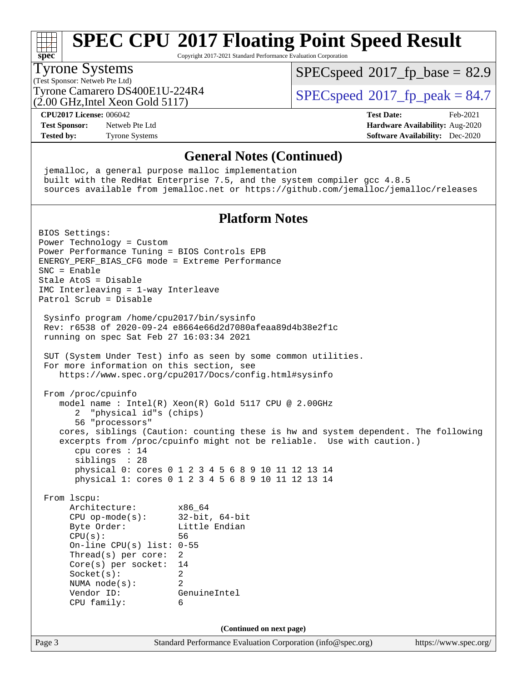Copyright 2017-2021 Standard Performance Evaluation Corporation

#### Tyrone Systems

**[spec](http://www.spec.org/)**

(Test Sponsor: Netweb Pte Ltd)

(2.00 GHz,Intel Xeon Gold 5117)

 $SPECspeed*2017_fp\_base = 82.9$  $SPECspeed*2017_fp\_base = 82.9$ 

Tyrone Camarero DS400E1U-224R4  $\vert$  [SPECspeed](http://www.spec.org/auto/cpu2017/Docs/result-fields.html#SPECspeed2017fppeak)®[2017\\_fp\\_peak = 8](http://www.spec.org/auto/cpu2017/Docs/result-fields.html#SPECspeed2017fppeak)4.7

**[Tested by:](http://www.spec.org/auto/cpu2017/Docs/result-fields.html#Testedby)** Tyrone Systems **[Software Availability:](http://www.spec.org/auto/cpu2017/Docs/result-fields.html#SoftwareAvailability)** Dec-2020

**[CPU2017 License:](http://www.spec.org/auto/cpu2017/Docs/result-fields.html#CPU2017License)** 006042 **[Test Date:](http://www.spec.org/auto/cpu2017/Docs/result-fields.html#TestDate)** Feb-2021 **[Test Sponsor:](http://www.spec.org/auto/cpu2017/Docs/result-fields.html#TestSponsor)** Netweb Pte Ltd **[Hardware Availability:](http://www.spec.org/auto/cpu2017/Docs/result-fields.html#HardwareAvailability)** Aug-2020

#### **[General Notes \(Continued\)](http://www.spec.org/auto/cpu2017/Docs/result-fields.html#GeneralNotes)**

 jemalloc, a general purpose malloc implementation built with the RedHat Enterprise 7.5, and the system compiler gcc 4.8.5 sources available from jemalloc.net or <https://github.com/jemalloc/jemalloc/releases> **[Platform Notes](http://www.spec.org/auto/cpu2017/Docs/result-fields.html#PlatformNotes)** BIOS Settings: Power Technology = Custom Power Performance Tuning = BIOS Controls EPB ENERGY\_PERF\_BIAS\_CFG mode = Extreme Performance SNC = Enable Stale AtoS = Disable IMC Interleaving = 1-way Interleave Patrol Scrub = Disable Sysinfo program /home/cpu2017/bin/sysinfo Rev: r6538 of 2020-09-24 e8664e66d2d7080afeaa89d4b38e2f1c running on spec Sat Feb 27 16:03:34 2021 SUT (System Under Test) info as seen by some common utilities. For more information on this section, see <https://www.spec.org/cpu2017/Docs/config.html#sysinfo> From /proc/cpuinfo model name : Intel(R) Xeon(R) Gold 5117 CPU @ 2.00GHz 2 "physical id"s (chips) 56 "processors" cores, siblings (Caution: counting these is hw and system dependent. The following excerpts from /proc/cpuinfo might not be reliable. Use with caution.) cpu cores : 14 siblings : 28 physical 0: cores 0 1 2 3 4 5 6 8 9 10 11 12 13 14 physical 1: cores 0 1 2 3 4 5 6 8 9 10 11 12 13 14 From lscpu: Architecture: x86\_64 CPU op-mode(s): 32-bit, 64-bit Byte Order: Little Endian CPU(s): 56 On-line CPU(s) list: 0-55 Thread(s) per core: 2 Core(s) per socket: 14 Socket(s): 2 NUMA node(s): 2 Vendor ID: GenuineIntel CPU family: 6 **(Continued on next page)**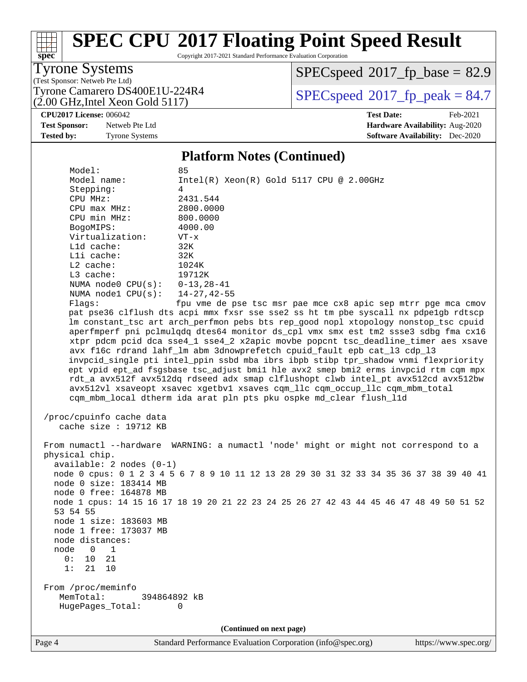Copyright 2017-2021 Standard Performance Evaluation Corporation

Tyrone Systems

**[spec](http://www.spec.org/)**

(Test Sponsor: Netweb Pte Ltd)  $(2.00 \text{ GHz}, \text{Intel Xeon Gold } 5117)$   $SPECspeed*2017_fp\_base = 82.9$  $SPECspeed*2017_fp\_base = 82.9$ 

Tyrone Camarero DS400E1U-224R4  $\vert$  [SPECspeed](http://www.spec.org/auto/cpu2017/Docs/result-fields.html#SPECspeed2017fppeak)®[2017\\_fp\\_peak = 8](http://www.spec.org/auto/cpu2017/Docs/result-fields.html#SPECspeed2017fppeak)4.7

**[Tested by:](http://www.spec.org/auto/cpu2017/Docs/result-fields.html#Testedby)** Tyrone Systems **[Software Availability:](http://www.spec.org/auto/cpu2017/Docs/result-fields.html#SoftwareAvailability)** Dec-2020

**[CPU2017 License:](http://www.spec.org/auto/cpu2017/Docs/result-fields.html#CPU2017License)** 006042 **[Test Date:](http://www.spec.org/auto/cpu2017/Docs/result-fields.html#TestDate)** Feb-2021 **[Test Sponsor:](http://www.spec.org/auto/cpu2017/Docs/result-fields.html#TestSponsor)** Netweb Pte Ltd **[Hardware Availability:](http://www.spec.org/auto/cpu2017/Docs/result-fields.html#HardwareAvailability)** Aug-2020

#### **[Platform Notes \(Continued\)](http://www.spec.org/auto/cpu2017/Docs/result-fields.html#PlatformNotes)**

| Model:                           | 85                                                                                      |  |  |  |  |  |
|----------------------------------|-----------------------------------------------------------------------------------------|--|--|--|--|--|
| Model name:                      | $Intel(R)$ Xeon $(R)$ Gold 5117 CPU @ 2.00GHz                                           |  |  |  |  |  |
| Stepping:                        | 4                                                                                       |  |  |  |  |  |
| CPU MHz:                         | 2431.544                                                                                |  |  |  |  |  |
| CPU max MHz:                     | 2800.0000                                                                               |  |  |  |  |  |
| CPU min MHz:                     | 800.0000                                                                                |  |  |  |  |  |
| BogoMIPS:                        | 4000.00                                                                                 |  |  |  |  |  |
| Virtualization:                  | $VT - x$                                                                                |  |  |  |  |  |
| Lld cache:                       | 32K                                                                                     |  |  |  |  |  |
| Lli cache:                       | 32K                                                                                     |  |  |  |  |  |
| $L2$ cache:                      | 1024K                                                                                   |  |  |  |  |  |
| L3 cache:                        | 19712K                                                                                  |  |  |  |  |  |
| NUMA node0 $CPU(s): 0-13, 28-41$ |                                                                                         |  |  |  |  |  |
| NUMA node1 CPU(s): 14-27, 42-55  |                                                                                         |  |  |  |  |  |
| Flags:                           | fpu vme de pse tsc msr pae mce cx8 apic sep mtrr pge mca cmov                           |  |  |  |  |  |
|                                  | pat pse36 clflush dts acpi mmx fxsr sse sse2 ss ht tm pbe syscall nx pdpelgb rdtscp     |  |  |  |  |  |
|                                  | lm constant_tsc art arch_perfmon pebs bts rep_good nopl xtopology nonstop_tsc cpuid     |  |  |  |  |  |
|                                  | aperfmperf pni pclmulqdq dtes64 monitor ds_cpl vmx smx est tm2 ssse3 sdbg fma cx16      |  |  |  |  |  |
|                                  | xtpr pdcm pcid dca sse4_1 sse4_2 x2apic movbe popcnt tsc_deadline_timer aes xsave       |  |  |  |  |  |
|                                  | avx f16c rdrand lahf_lm abm 3dnowprefetch cpuid_fault epb cat_13 cdp_13                 |  |  |  |  |  |
|                                  | invpcid single pti intel ppin ssbd mba ibrs ibpb stibp tpr shadow vnmi flexpriority     |  |  |  |  |  |
|                                  | ept vpid ept_ad fsgsbase tsc_adjust bmil hle avx2 smep bmi2 erms invpcid rtm cqm mpx    |  |  |  |  |  |
|                                  | rdt_a avx512f avx512dq rdseed adx smap clflushopt clwb intel_pt avx512cd avx512bw       |  |  |  |  |  |
|                                  | avx512vl xsaveopt xsavec xgetbvl xsaves cqm_llc cqm_occup_llc cqm_mbm_total             |  |  |  |  |  |
|                                  | cqm_mbm_local dtherm ida arat pln pts pku ospke md_clear flush_lld                      |  |  |  |  |  |
| /proc/cpuinfo cache data         |                                                                                         |  |  |  |  |  |
| cache size : 19712 KB            |                                                                                         |  |  |  |  |  |
|                                  |                                                                                         |  |  |  |  |  |
|                                  | From numactl --hardware WARNING: a numactl 'node' might or might not correspond to a    |  |  |  |  |  |
| physical chip.                   |                                                                                         |  |  |  |  |  |
| $available: 2 nodes (0-1)$       |                                                                                         |  |  |  |  |  |
|                                  | node 0 cpus: 0 1 2 3 4 5 6 7 8 9 10 11 12 13 28 29 30 31 32 33 34 35 36 37 38 39 40 41  |  |  |  |  |  |
| node 0 size: 183414 MB           |                                                                                         |  |  |  |  |  |
| node 0 free: 164878 MB           |                                                                                         |  |  |  |  |  |
|                                  | node 1 cpus: 14 15 16 17 18 19 20 21 22 23 24 25 26 27 42 43 44 45 46 47 48 49 50 51 52 |  |  |  |  |  |
| 53 54 55                         |                                                                                         |  |  |  |  |  |
| node 1 size: 183603 MB           |                                                                                         |  |  |  |  |  |
| node 1 free: 173037 MB           |                                                                                         |  |  |  |  |  |
| node distances:                  |                                                                                         |  |  |  |  |  |
| node<br>$\Omega$<br>1            |                                                                                         |  |  |  |  |  |
| 21<br>0:<br>10                   |                                                                                         |  |  |  |  |  |
| 1:<br>21<br>10                   |                                                                                         |  |  |  |  |  |
|                                  |                                                                                         |  |  |  |  |  |
| From /proc/meminfo               |                                                                                         |  |  |  |  |  |
| MemTotal:<br>394864892 kB        |                                                                                         |  |  |  |  |  |
| HugePages_Total:                 | 0                                                                                       |  |  |  |  |  |
|                                  |                                                                                         |  |  |  |  |  |
|                                  | (Continued on next page)                                                                |  |  |  |  |  |
|                                  |                                                                                         |  |  |  |  |  |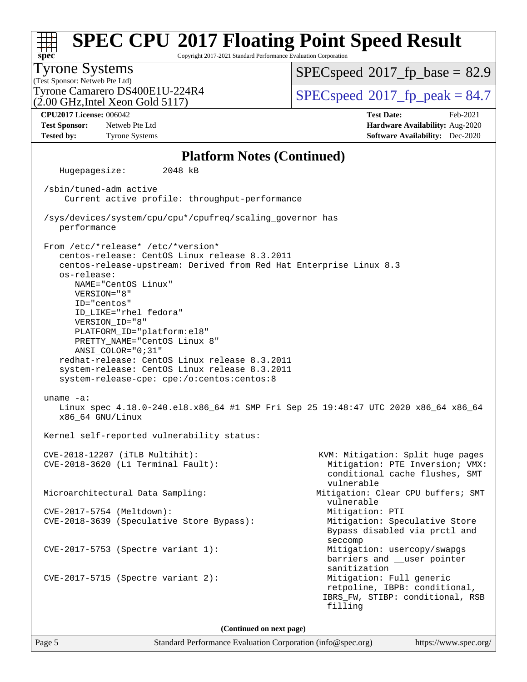#### **[spec](http://www.spec.org/) [SPEC CPU](http://www.spec.org/auto/cpu2017/Docs/result-fields.html#SPECCPU2017FloatingPointSpeedResult)[2017 Floating Point Speed Result](http://www.spec.org/auto/cpu2017/Docs/result-fields.html#SPECCPU2017FloatingPointSpeedResult)** Copyright 2017-2021 Standard Performance Evaluation Corporation (Test Sponsor: Netweb Pte Ltd) Tyrone Systems (2.00 GHz,Intel Xeon Gold 5117) Tyrone Camarero DS400E1U-224R4  $\vert$  [SPECspeed](http://www.spec.org/auto/cpu2017/Docs/result-fields.html#SPECspeed2017fppeak)®[2017\\_fp\\_peak = 8](http://www.spec.org/auto/cpu2017/Docs/result-fields.html#SPECspeed2017fppeak)4.7  $SPECspeed*2017_fp\_base = 82.9$  $SPECspeed*2017_fp\_base = 82.9$ **[CPU2017 License:](http://www.spec.org/auto/cpu2017/Docs/result-fields.html#CPU2017License)** 006042 **[Test Date:](http://www.spec.org/auto/cpu2017/Docs/result-fields.html#TestDate)** Feb-2021 **[Test Sponsor:](http://www.spec.org/auto/cpu2017/Docs/result-fields.html#TestSponsor)** Netweb Pte Ltd **[Hardware Availability:](http://www.spec.org/auto/cpu2017/Docs/result-fields.html#HardwareAvailability)** Aug-2020 **[Tested by:](http://www.spec.org/auto/cpu2017/Docs/result-fields.html#Testedby)** Tyrone Systems **[Software Availability:](http://www.spec.org/auto/cpu2017/Docs/result-fields.html#SoftwareAvailability)** Dec-2020 **[Platform Notes \(Continued\)](http://www.spec.org/auto/cpu2017/Docs/result-fields.html#PlatformNotes)** Hugepagesize: 2048 kB /sbin/tuned-adm active Current active profile: throughput-performance /sys/devices/system/cpu/cpu\*/cpufreq/scaling\_governor has performance From /etc/\*release\* /etc/\*version\* centos-release: CentOS Linux release 8.3.2011 centos-release-upstream: Derived from Red Hat Enterprise Linux 8.3

 NAME="CentOS Linux" VERSION="8" ID="centos" ID\_LIKE="rhel fedora" VERSION\_ID="8" PLATFORM\_ID="platform:el8" PRETTY\_NAME="CentOS Linux 8" ANSI\_COLOR="0;31" redhat-release: CentOS Linux release 8.3.2011 system-release: CentOS Linux release 8.3.2011

 uname -a: Linux spec 4.18.0-240.el8.x86\_64 #1 SMP Fri Sep 25 19:48:47 UTC 2020 x86\_64 x86\_64 x86\_64 GNU/Linux

Kernel self-reported vulnerability status:

system-release-cpe: cpe:/o:centos:centos:8

 CVE-2018-12207 (iTLB Multihit): KVM: Mitigation: Split huge pages CVE-2018-3620 (L1 Terminal Fault): Mitigation: PTE Inversion; VMX:

os-release:

Microarchitectural Data Sampling: Mitigation: Clear CPU buffers; SMT

 CVE-2017-5754 (Meltdown): Mitigation: PTI CVE-2018-3639 (Speculative Store Bypass): Mitigation: Speculative Store

seccomplex and the contract of the contract of the contract of the second seconds of the seconds of the second CVE-2017-5753 (Spectre variant 1): Mitigation: usercopy/swapgs

CVE-2017-5715 (Spectre variant 2): Mitigation: Full generic

**(Continued on next page)**

Page 5 Standard Performance Evaluation Corporation [\(info@spec.org\)](mailto:info@spec.org) <https://www.spec.org/>

conditional cache flushes, SMT

Bypass disabled via prctl and

barriers and \_\_user pointer

 retpoline, IBPB: conditional, IBRS\_FW, STIBP: conditional, RSB

vulnerable

vulnerable

sanitization

filling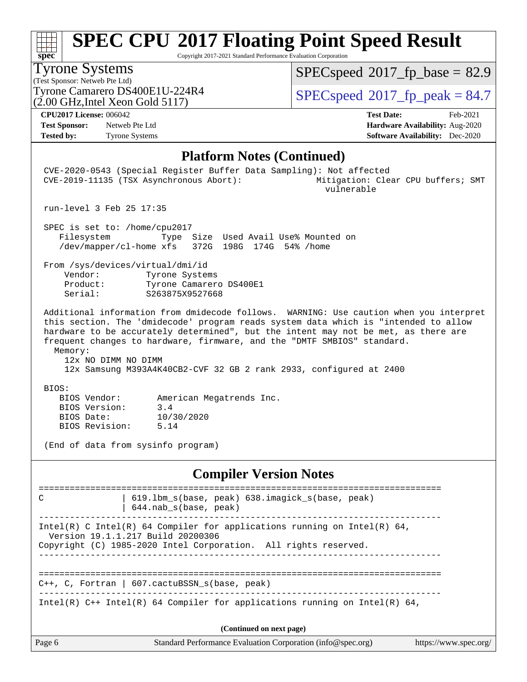#### Page 6 Standard Performance Evaluation Corporation [\(info@spec.org\)](mailto:info@spec.org) <https://www.spec.org/> **[spec](http://www.spec.org/) [SPEC CPU](http://www.spec.org/auto/cpu2017/Docs/result-fields.html#SPECCPU2017FloatingPointSpeedResult)[2017 Floating Point Speed Result](http://www.spec.org/auto/cpu2017/Docs/result-fields.html#SPECCPU2017FloatingPointSpeedResult)** Copyright 2017-2021 Standard Performance Evaluation Corporation (Test Sponsor: Netweb Pte Ltd) Tyrone Systems (2.00 GHz,Intel Xeon Gold 5117) Tyrone Camarero DS400E1U-224R4  $\vert$  [SPECspeed](http://www.spec.org/auto/cpu2017/Docs/result-fields.html#SPECspeed2017fppeak)®[2017\\_fp\\_peak = 8](http://www.spec.org/auto/cpu2017/Docs/result-fields.html#SPECspeed2017fppeak)4.7  $SPECspeed*2017_fp\_base = 82.9$  $SPECspeed*2017_fp\_base = 82.9$ **[CPU2017 License:](http://www.spec.org/auto/cpu2017/Docs/result-fields.html#CPU2017License)** 006042 **[Test Date:](http://www.spec.org/auto/cpu2017/Docs/result-fields.html#TestDate)** Feb-2021 **[Test Sponsor:](http://www.spec.org/auto/cpu2017/Docs/result-fields.html#TestSponsor)** Netweb Pte Ltd **[Hardware Availability:](http://www.spec.org/auto/cpu2017/Docs/result-fields.html#HardwareAvailability)** Aug-2020 **[Tested by:](http://www.spec.org/auto/cpu2017/Docs/result-fields.html#Testedby)** Tyrone Systems **[Software Availability:](http://www.spec.org/auto/cpu2017/Docs/result-fields.html#SoftwareAvailability)** Dec-2020 **[Platform Notes \(Continued\)](http://www.spec.org/auto/cpu2017/Docs/result-fields.html#PlatformNotes)** CVE-2020-0543 (Special Register Buffer Data Sampling): Not affected CVE-2019-11135 (TSX Asynchronous Abort): Mitigation: Clear CPU buffers; SMT vulnerable run-level 3 Feb 25 17:35 SPEC is set to: /home/cpu2017 Filesystem Type Size Used Avail Use% Mounted on /dev/mapper/cl-home xfs 372G 198G 174G 54% /home From /sys/devices/virtual/dmi/id Vendor: Tyrone Systems Product: Tyrone Camarero DS400E1 Serial: S263875X9527668 Additional information from dmidecode follows. WARNING: Use caution when you interpret this section. The 'dmidecode' program reads system data which is "intended to allow hardware to be accurately determined", but the intent may not be met, as there are frequent changes to hardware, firmware, and the "DMTF SMBIOS" standard. Memory: 12x NO DIMM NO DIMM 12x Samsung M393A4K40CB2-CVF 32 GB 2 rank 2933, configured at 2400 BIOS: BIOS Vendor: American Megatrends Inc. BIOS Version: 3.4 BIOS Date: 10/30/2020 BIOS Revision: 5.14 (End of data from sysinfo program) **[Compiler Version Notes](http://www.spec.org/auto/cpu2017/Docs/result-fields.html#CompilerVersionNotes)** ============================================================================== C | 619.lbm\_s(base, peak) 638.imagick\_s(base, peak) | 644.nab\_s(base, peak) ------------------------------------------------------------------------------ Intel(R) C Intel(R) 64 Compiler for applications running on Intel(R)  $64$ , Version 19.1.1.217 Build 20200306 Copyright (C) 1985-2020 Intel Corporation. All rights reserved. ------------------------------------------------------------------------------ ============================================================================== C++, C, Fortran | 607.cactuBSSN\_s(base, peak) ------------------------------------------------------------------------------ Intel(R)  $C++$  Intel(R) 64 Compiler for applications running on Intel(R) 64, **(Continued on next page)**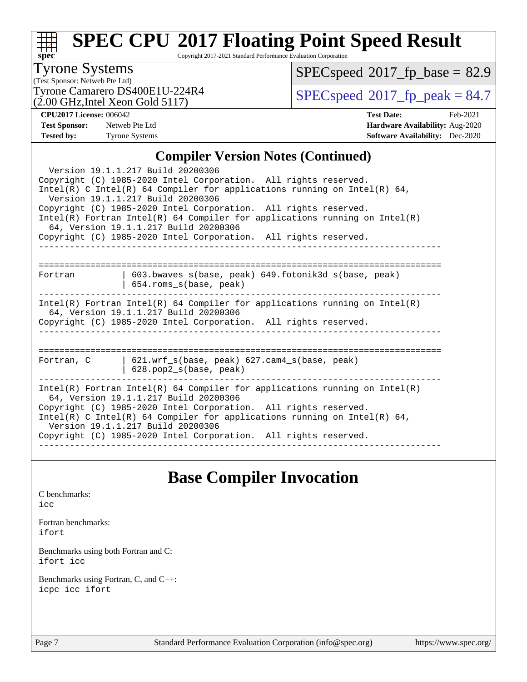| x<br>z | 0 | æ |  |
|--------|---|---|--|

Copyright 2017-2021 Standard Performance Evaluation Corporation

#### Tyrone Systems

(Test Sponsor: Netweb Pte Ltd)  $(2.00 \text{ GHz}, \text{Intel} \text{ Xeon} \text{ Gold} 5117)$   $SPECspeed*2017_fp\_base = 82.9$  $SPECspeed*2017_fp\_base = 82.9$ 

Tyrone Camarero DS400E1U-224R4  $\vert$  [SPECspeed](http://www.spec.org/auto/cpu2017/Docs/result-fields.html#SPECspeed2017fppeak)®[2017\\_fp\\_peak = 8](http://www.spec.org/auto/cpu2017/Docs/result-fields.html#SPECspeed2017fppeak)4.7

**[CPU2017 License:](http://www.spec.org/auto/cpu2017/Docs/result-fields.html#CPU2017License)** 006042 **[Test Date:](http://www.spec.org/auto/cpu2017/Docs/result-fields.html#TestDate)** Feb-2021 **[Test Sponsor:](http://www.spec.org/auto/cpu2017/Docs/result-fields.html#TestSponsor)** Netweb Pte Ltd **[Hardware Availability:](http://www.spec.org/auto/cpu2017/Docs/result-fields.html#HardwareAvailability)** Aug-2020 **[Tested by:](http://www.spec.org/auto/cpu2017/Docs/result-fields.html#Testedby)** Tyrone Systems **[Software Availability:](http://www.spec.org/auto/cpu2017/Docs/result-fields.html#SoftwareAvailability)** Dec-2020

#### **[Compiler Version Notes \(Continued\)](http://www.spec.org/auto/cpu2017/Docs/result-fields.html#CompilerVersionNotes)**

| Version 19.1.1.217 Build 20200306<br>Copyright (C) 1985-2020 Intel Corporation. All rights reserved.<br>Intel(R) C Intel(R) 64 Compiler for applications running on Intel(R) 64,<br>Version 19.1.1.217 Build 20200306<br>Copyright (C) 1985-2020 Intel Corporation. All rights reserved.<br>Intel(R) Fortran Intel(R) 64 Compiler for applications running on Intel(R)<br>64, Version 19.1.1.217 Build 20200306<br>Copyright (C) 1985-2020 Intel Corporation. All rights reserved. |                                                                                                                 |  |  |  |  |
|------------------------------------------------------------------------------------------------------------------------------------------------------------------------------------------------------------------------------------------------------------------------------------------------------------------------------------------------------------------------------------------------------------------------------------------------------------------------------------|-----------------------------------------------------------------------------------------------------------------|--|--|--|--|
|                                                                                                                                                                                                                                                                                                                                                                                                                                                                                    |                                                                                                                 |  |  |  |  |
| Fortran                                                                                                                                                                                                                                                                                                                                                                                                                                                                            | -----------------------------<br>603.bwaves_s(base, peak) 649.fotonik3d_s(base, peak)<br>654.roms_s(base, peak) |  |  |  |  |
| $Intel(R)$ Fortran Intel(R) 64 Compiler for applications running on Intel(R)<br>64, Version 19.1.1.217 Build 20200306<br>Copyright (C) 1985-2020 Intel Corporation. All rights reserved.                                                                                                                                                                                                                                                                                           |                                                                                                                 |  |  |  |  |
| .===============================<br>Fortran, C                                                                                                                                                                                                                                                                                                                                                                                                                                     | 621.wrf_s(base, peak) 627.cam4_s(base, peak)<br>$628.$ pop $2 s(base, peak)$                                    |  |  |  |  |
| $Intel(R)$ Fortran Intel(R) 64 Compiler for applications running on Intel(R)<br>64, Version 19.1.1.217 Build 20200306<br>Copyright (C) 1985-2020 Intel Corporation. All rights reserved.<br>Intel(R) C Intel(R) 64 Compiler for applications running on Intel(R) 64,<br>Version 19.1.1.217 Build 20200306<br>Copyright (C) 1985-2020 Intel Corporation. All rights reserved.                                                                                                       |                                                                                                                 |  |  |  |  |

### **[Base Compiler Invocation](http://www.spec.org/auto/cpu2017/Docs/result-fields.html#BaseCompilerInvocation)**

[C benchmarks](http://www.spec.org/auto/cpu2017/Docs/result-fields.html#Cbenchmarks): [icc](http://www.spec.org/cpu2017/results/res2021q1/cpu2017-20210301-25064.flags.html#user_CCbase_intel_icc_66fc1ee009f7361af1fbd72ca7dcefbb700085f36577c54f309893dd4ec40d12360134090235512931783d35fd58c0460139e722d5067c5574d8eaf2b3e37e92)

[Fortran benchmarks](http://www.spec.org/auto/cpu2017/Docs/result-fields.html#Fortranbenchmarks): [ifort](http://www.spec.org/cpu2017/results/res2021q1/cpu2017-20210301-25064.flags.html#user_FCbase_intel_ifort_8111460550e3ca792625aed983ce982f94888b8b503583aa7ba2b8303487b4d8a21a13e7191a45c5fd58ff318f48f9492884d4413fa793fd88dd292cad7027ca)

[Benchmarks using both Fortran and C](http://www.spec.org/auto/cpu2017/Docs/result-fields.html#BenchmarksusingbothFortranandC): [ifort](http://www.spec.org/cpu2017/results/res2021q1/cpu2017-20210301-25064.flags.html#user_CC_FCbase_intel_ifort_8111460550e3ca792625aed983ce982f94888b8b503583aa7ba2b8303487b4d8a21a13e7191a45c5fd58ff318f48f9492884d4413fa793fd88dd292cad7027ca) [icc](http://www.spec.org/cpu2017/results/res2021q1/cpu2017-20210301-25064.flags.html#user_CC_FCbase_intel_icc_66fc1ee009f7361af1fbd72ca7dcefbb700085f36577c54f309893dd4ec40d12360134090235512931783d35fd58c0460139e722d5067c5574d8eaf2b3e37e92)

[Benchmarks using Fortran, C, and C++:](http://www.spec.org/auto/cpu2017/Docs/result-fields.html#BenchmarksusingFortranCandCXX) [icpc](http://www.spec.org/cpu2017/results/res2021q1/cpu2017-20210301-25064.flags.html#user_CC_CXX_FCbase_intel_icpc_c510b6838c7f56d33e37e94d029a35b4a7bccf4766a728ee175e80a419847e808290a9b78be685c44ab727ea267ec2f070ec5dc83b407c0218cded6866a35d07) [icc](http://www.spec.org/cpu2017/results/res2021q1/cpu2017-20210301-25064.flags.html#user_CC_CXX_FCbase_intel_icc_66fc1ee009f7361af1fbd72ca7dcefbb700085f36577c54f309893dd4ec40d12360134090235512931783d35fd58c0460139e722d5067c5574d8eaf2b3e37e92) [ifort](http://www.spec.org/cpu2017/results/res2021q1/cpu2017-20210301-25064.flags.html#user_CC_CXX_FCbase_intel_ifort_8111460550e3ca792625aed983ce982f94888b8b503583aa7ba2b8303487b4d8a21a13e7191a45c5fd58ff318f48f9492884d4413fa793fd88dd292cad7027ca)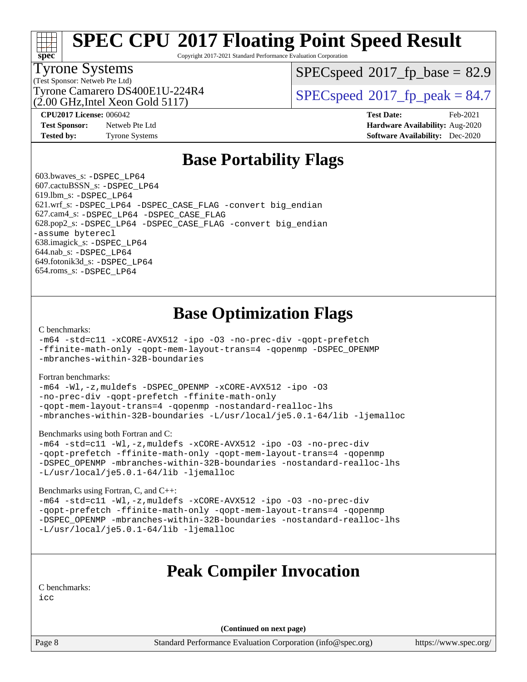Copyright 2017-2021 Standard Performance Evaluation Corporation

#### Tyrone Systems

**[spec](http://www.spec.org/)**

(Test Sponsor: Netweb Pte Ltd)

 $(2.00 \text{ GHz}$ , Intel Xeon Gold 5117)

 $SPECspeed^{\circledcirc}2017$  $SPECspeed^{\circledcirc}2017$  fp base = 82.9

Tyrone Camarero DS400E1U-224R4  $\vert$  [SPECspeed](http://www.spec.org/auto/cpu2017/Docs/result-fields.html#SPECspeed2017fppeak)®[2017\\_fp\\_peak = 8](http://www.spec.org/auto/cpu2017/Docs/result-fields.html#SPECspeed2017fppeak)4.7

**[Test Sponsor:](http://www.spec.org/auto/cpu2017/Docs/result-fields.html#TestSponsor)** Netweb Pte Ltd **[Hardware Availability:](http://www.spec.org/auto/cpu2017/Docs/result-fields.html#HardwareAvailability)** Aug-2020 **[Tested by:](http://www.spec.org/auto/cpu2017/Docs/result-fields.html#Testedby)** Tyrone Systems **[Software Availability:](http://www.spec.org/auto/cpu2017/Docs/result-fields.html#SoftwareAvailability)** Dec-2020

**[CPU2017 License:](http://www.spec.org/auto/cpu2017/Docs/result-fields.html#CPU2017License)** 006042 **[Test Date:](http://www.spec.org/auto/cpu2017/Docs/result-fields.html#TestDate)** Feb-2021

### **[Base Portability Flags](http://www.spec.org/auto/cpu2017/Docs/result-fields.html#BasePortabilityFlags)**

 603.bwaves\_s: [-DSPEC\\_LP64](http://www.spec.org/cpu2017/results/res2021q1/cpu2017-20210301-25064.flags.html#suite_basePORTABILITY603_bwaves_s_DSPEC_LP64) 607.cactuBSSN\_s: [-DSPEC\\_LP64](http://www.spec.org/cpu2017/results/res2021q1/cpu2017-20210301-25064.flags.html#suite_basePORTABILITY607_cactuBSSN_s_DSPEC_LP64) 619.lbm\_s: [-DSPEC\\_LP64](http://www.spec.org/cpu2017/results/res2021q1/cpu2017-20210301-25064.flags.html#suite_basePORTABILITY619_lbm_s_DSPEC_LP64) 621.wrf\_s: [-DSPEC\\_LP64](http://www.spec.org/cpu2017/results/res2021q1/cpu2017-20210301-25064.flags.html#suite_basePORTABILITY621_wrf_s_DSPEC_LP64) [-DSPEC\\_CASE\\_FLAG](http://www.spec.org/cpu2017/results/res2021q1/cpu2017-20210301-25064.flags.html#b621.wrf_s_baseCPORTABILITY_DSPEC_CASE_FLAG) [-convert big\\_endian](http://www.spec.org/cpu2017/results/res2021q1/cpu2017-20210301-25064.flags.html#user_baseFPORTABILITY621_wrf_s_convert_big_endian_c3194028bc08c63ac5d04de18c48ce6d347e4e562e8892b8bdbdc0214820426deb8554edfa529a3fb25a586e65a3d812c835984020483e7e73212c4d31a38223) 627.cam4\_s: [-DSPEC\\_LP64](http://www.spec.org/cpu2017/results/res2021q1/cpu2017-20210301-25064.flags.html#suite_basePORTABILITY627_cam4_s_DSPEC_LP64) [-DSPEC\\_CASE\\_FLAG](http://www.spec.org/cpu2017/results/res2021q1/cpu2017-20210301-25064.flags.html#b627.cam4_s_baseCPORTABILITY_DSPEC_CASE_FLAG) 628.pop2\_s: [-DSPEC\\_LP64](http://www.spec.org/cpu2017/results/res2021q1/cpu2017-20210301-25064.flags.html#suite_basePORTABILITY628_pop2_s_DSPEC_LP64) [-DSPEC\\_CASE\\_FLAG](http://www.spec.org/cpu2017/results/res2021q1/cpu2017-20210301-25064.flags.html#b628.pop2_s_baseCPORTABILITY_DSPEC_CASE_FLAG) [-convert big\\_endian](http://www.spec.org/cpu2017/results/res2021q1/cpu2017-20210301-25064.flags.html#user_baseFPORTABILITY628_pop2_s_convert_big_endian_c3194028bc08c63ac5d04de18c48ce6d347e4e562e8892b8bdbdc0214820426deb8554edfa529a3fb25a586e65a3d812c835984020483e7e73212c4d31a38223) [-assume byterecl](http://www.spec.org/cpu2017/results/res2021q1/cpu2017-20210301-25064.flags.html#user_baseFPORTABILITY628_pop2_s_assume_byterecl_7e47d18b9513cf18525430bbf0f2177aa9bf368bc7a059c09b2c06a34b53bd3447c950d3f8d6c70e3faf3a05c8557d66a5798b567902e8849adc142926523472) 638.imagick\_s: [-DSPEC\\_LP64](http://www.spec.org/cpu2017/results/res2021q1/cpu2017-20210301-25064.flags.html#suite_basePORTABILITY638_imagick_s_DSPEC_LP64) 644.nab\_s: [-DSPEC\\_LP64](http://www.spec.org/cpu2017/results/res2021q1/cpu2017-20210301-25064.flags.html#suite_basePORTABILITY644_nab_s_DSPEC_LP64) 649.fotonik3d\_s: [-DSPEC\\_LP64](http://www.spec.org/cpu2017/results/res2021q1/cpu2017-20210301-25064.flags.html#suite_basePORTABILITY649_fotonik3d_s_DSPEC_LP64) 654.roms\_s: [-DSPEC\\_LP64](http://www.spec.org/cpu2017/results/res2021q1/cpu2017-20210301-25064.flags.html#suite_basePORTABILITY654_roms_s_DSPEC_LP64)

### **[Base Optimization Flags](http://www.spec.org/auto/cpu2017/Docs/result-fields.html#BaseOptimizationFlags)**

[C benchmarks](http://www.spec.org/auto/cpu2017/Docs/result-fields.html#Cbenchmarks):

[-m64](http://www.spec.org/cpu2017/results/res2021q1/cpu2017-20210301-25064.flags.html#user_CCbase_m64-icc) [-std=c11](http://www.spec.org/cpu2017/results/res2021q1/cpu2017-20210301-25064.flags.html#user_CCbase_std-icc-std_0e1c27790398a4642dfca32ffe6c27b5796f9c2d2676156f2e42c9c44eaad0c049b1cdb667a270c34d979996257aeb8fc440bfb01818dbc9357bd9d174cb8524) [-xCORE-AVX512](http://www.spec.org/cpu2017/results/res2021q1/cpu2017-20210301-25064.flags.html#user_CCbase_f-xCORE-AVX512) [-ipo](http://www.spec.org/cpu2017/results/res2021q1/cpu2017-20210301-25064.flags.html#user_CCbase_f-ipo) [-O3](http://www.spec.org/cpu2017/results/res2021q1/cpu2017-20210301-25064.flags.html#user_CCbase_f-O3) [-no-prec-div](http://www.spec.org/cpu2017/results/res2021q1/cpu2017-20210301-25064.flags.html#user_CCbase_f-no-prec-div) [-qopt-prefetch](http://www.spec.org/cpu2017/results/res2021q1/cpu2017-20210301-25064.flags.html#user_CCbase_f-qopt-prefetch) [-ffinite-math-only](http://www.spec.org/cpu2017/results/res2021q1/cpu2017-20210301-25064.flags.html#user_CCbase_f_finite_math_only_cb91587bd2077682c4b38af759c288ed7c732db004271a9512da14a4f8007909a5f1427ecbf1a0fb78ff2a814402c6114ac565ca162485bbcae155b5e4258871) [-qopt-mem-layout-trans=4](http://www.spec.org/cpu2017/results/res2021q1/cpu2017-20210301-25064.flags.html#user_CCbase_f-qopt-mem-layout-trans_fa39e755916c150a61361b7846f310bcdf6f04e385ef281cadf3647acec3f0ae266d1a1d22d972a7087a248fd4e6ca390a3634700869573d231a252c784941a8) [-qopenmp](http://www.spec.org/cpu2017/results/res2021q1/cpu2017-20210301-25064.flags.html#user_CCbase_qopenmp_16be0c44f24f464004c6784a7acb94aca937f053568ce72f94b139a11c7c168634a55f6653758ddd83bcf7b8463e8028bb0b48b77bcddc6b78d5d95bb1df2967) [-DSPEC\\_OPENMP](http://www.spec.org/cpu2017/results/res2021q1/cpu2017-20210301-25064.flags.html#suite_CCbase_DSPEC_OPENMP) [-mbranches-within-32B-boundaries](http://www.spec.org/cpu2017/results/res2021q1/cpu2017-20210301-25064.flags.html#user_CCbase_f-mbranches-within-32B-boundaries)

[Fortran benchmarks](http://www.spec.org/auto/cpu2017/Docs/result-fields.html#Fortranbenchmarks):

[-m64](http://www.spec.org/cpu2017/results/res2021q1/cpu2017-20210301-25064.flags.html#user_FCbase_m64-icc) [-Wl,-z,muldefs](http://www.spec.org/cpu2017/results/res2021q1/cpu2017-20210301-25064.flags.html#user_FCbase_link_force_multiple1_b4cbdb97b34bdee9ceefcfe54f4c8ea74255f0b02a4b23e853cdb0e18eb4525ac79b5a88067c842dd0ee6996c24547a27a4b99331201badda8798ef8a743f577) [-DSPEC\\_OPENMP](http://www.spec.org/cpu2017/results/res2021q1/cpu2017-20210301-25064.flags.html#suite_FCbase_DSPEC_OPENMP) [-xCORE-AVX512](http://www.spec.org/cpu2017/results/res2021q1/cpu2017-20210301-25064.flags.html#user_FCbase_f-xCORE-AVX512) [-ipo](http://www.spec.org/cpu2017/results/res2021q1/cpu2017-20210301-25064.flags.html#user_FCbase_f-ipo) [-O3](http://www.spec.org/cpu2017/results/res2021q1/cpu2017-20210301-25064.flags.html#user_FCbase_f-O3) [-no-prec-div](http://www.spec.org/cpu2017/results/res2021q1/cpu2017-20210301-25064.flags.html#user_FCbase_f-no-prec-div) [-qopt-prefetch](http://www.spec.org/cpu2017/results/res2021q1/cpu2017-20210301-25064.flags.html#user_FCbase_f-qopt-prefetch) [-ffinite-math-only](http://www.spec.org/cpu2017/results/res2021q1/cpu2017-20210301-25064.flags.html#user_FCbase_f_finite_math_only_cb91587bd2077682c4b38af759c288ed7c732db004271a9512da14a4f8007909a5f1427ecbf1a0fb78ff2a814402c6114ac565ca162485bbcae155b5e4258871) [-qopt-mem-layout-trans=4](http://www.spec.org/cpu2017/results/res2021q1/cpu2017-20210301-25064.flags.html#user_FCbase_f-qopt-mem-layout-trans_fa39e755916c150a61361b7846f310bcdf6f04e385ef281cadf3647acec3f0ae266d1a1d22d972a7087a248fd4e6ca390a3634700869573d231a252c784941a8) [-qopenmp](http://www.spec.org/cpu2017/results/res2021q1/cpu2017-20210301-25064.flags.html#user_FCbase_qopenmp_16be0c44f24f464004c6784a7acb94aca937f053568ce72f94b139a11c7c168634a55f6653758ddd83bcf7b8463e8028bb0b48b77bcddc6b78d5d95bb1df2967) [-nostandard-realloc-lhs](http://www.spec.org/cpu2017/results/res2021q1/cpu2017-20210301-25064.flags.html#user_FCbase_f_2003_std_realloc_82b4557e90729c0f113870c07e44d33d6f5a304b4f63d4c15d2d0f1fab99f5daaed73bdb9275d9ae411527f28b936061aa8b9c8f2d63842963b95c9dd6426b8a) [-mbranches-within-32B-boundaries](http://www.spec.org/cpu2017/results/res2021q1/cpu2017-20210301-25064.flags.html#user_FCbase_f-mbranches-within-32B-boundaries) [-L/usr/local/je5.0.1-64/lib](http://www.spec.org/cpu2017/results/res2021q1/cpu2017-20210301-25064.flags.html#user_FCbase_jemalloc_link_path64_4b10a636b7bce113509b17f3bd0d6226c5fb2346b9178c2d0232c14f04ab830f976640479e5c33dc2bcbbdad86ecfb6634cbbd4418746f06f368b512fced5394) [-ljemalloc](http://www.spec.org/cpu2017/results/res2021q1/cpu2017-20210301-25064.flags.html#user_FCbase_jemalloc_link_lib_d1249b907c500fa1c0672f44f562e3d0f79738ae9e3c4a9c376d49f265a04b9c99b167ecedbf6711b3085be911c67ff61f150a17b3472be731631ba4d0471706)

[Benchmarks using both Fortran and C](http://www.spec.org/auto/cpu2017/Docs/result-fields.html#BenchmarksusingbothFortranandC):

[-m64](http://www.spec.org/cpu2017/results/res2021q1/cpu2017-20210301-25064.flags.html#user_CC_FCbase_m64-icc) [-std=c11](http://www.spec.org/cpu2017/results/res2021q1/cpu2017-20210301-25064.flags.html#user_CC_FCbase_std-icc-std_0e1c27790398a4642dfca32ffe6c27b5796f9c2d2676156f2e42c9c44eaad0c049b1cdb667a270c34d979996257aeb8fc440bfb01818dbc9357bd9d174cb8524) [-Wl,-z,muldefs](http://www.spec.org/cpu2017/results/res2021q1/cpu2017-20210301-25064.flags.html#user_CC_FCbase_link_force_multiple1_b4cbdb97b34bdee9ceefcfe54f4c8ea74255f0b02a4b23e853cdb0e18eb4525ac79b5a88067c842dd0ee6996c24547a27a4b99331201badda8798ef8a743f577) [-xCORE-AVX512](http://www.spec.org/cpu2017/results/res2021q1/cpu2017-20210301-25064.flags.html#user_CC_FCbase_f-xCORE-AVX512) [-ipo](http://www.spec.org/cpu2017/results/res2021q1/cpu2017-20210301-25064.flags.html#user_CC_FCbase_f-ipo) [-O3](http://www.spec.org/cpu2017/results/res2021q1/cpu2017-20210301-25064.flags.html#user_CC_FCbase_f-O3) [-no-prec-div](http://www.spec.org/cpu2017/results/res2021q1/cpu2017-20210301-25064.flags.html#user_CC_FCbase_f-no-prec-div) [-qopt-prefetch](http://www.spec.org/cpu2017/results/res2021q1/cpu2017-20210301-25064.flags.html#user_CC_FCbase_f-qopt-prefetch) [-ffinite-math-only](http://www.spec.org/cpu2017/results/res2021q1/cpu2017-20210301-25064.flags.html#user_CC_FCbase_f_finite_math_only_cb91587bd2077682c4b38af759c288ed7c732db004271a9512da14a4f8007909a5f1427ecbf1a0fb78ff2a814402c6114ac565ca162485bbcae155b5e4258871) [-qopt-mem-layout-trans=4](http://www.spec.org/cpu2017/results/res2021q1/cpu2017-20210301-25064.flags.html#user_CC_FCbase_f-qopt-mem-layout-trans_fa39e755916c150a61361b7846f310bcdf6f04e385ef281cadf3647acec3f0ae266d1a1d22d972a7087a248fd4e6ca390a3634700869573d231a252c784941a8) [-qopenmp](http://www.spec.org/cpu2017/results/res2021q1/cpu2017-20210301-25064.flags.html#user_CC_FCbase_qopenmp_16be0c44f24f464004c6784a7acb94aca937f053568ce72f94b139a11c7c168634a55f6653758ddd83bcf7b8463e8028bb0b48b77bcddc6b78d5d95bb1df2967) [-DSPEC\\_OPENMP](http://www.spec.org/cpu2017/results/res2021q1/cpu2017-20210301-25064.flags.html#suite_CC_FCbase_DSPEC_OPENMP) [-mbranches-within-32B-boundaries](http://www.spec.org/cpu2017/results/res2021q1/cpu2017-20210301-25064.flags.html#user_CC_FCbase_f-mbranches-within-32B-boundaries) [-nostandard-realloc-lhs](http://www.spec.org/cpu2017/results/res2021q1/cpu2017-20210301-25064.flags.html#user_CC_FCbase_f_2003_std_realloc_82b4557e90729c0f113870c07e44d33d6f5a304b4f63d4c15d2d0f1fab99f5daaed73bdb9275d9ae411527f28b936061aa8b9c8f2d63842963b95c9dd6426b8a) [-L/usr/local/je5.0.1-64/lib](http://www.spec.org/cpu2017/results/res2021q1/cpu2017-20210301-25064.flags.html#user_CC_FCbase_jemalloc_link_path64_4b10a636b7bce113509b17f3bd0d6226c5fb2346b9178c2d0232c14f04ab830f976640479e5c33dc2bcbbdad86ecfb6634cbbd4418746f06f368b512fced5394) [-ljemalloc](http://www.spec.org/cpu2017/results/res2021q1/cpu2017-20210301-25064.flags.html#user_CC_FCbase_jemalloc_link_lib_d1249b907c500fa1c0672f44f562e3d0f79738ae9e3c4a9c376d49f265a04b9c99b167ecedbf6711b3085be911c67ff61f150a17b3472be731631ba4d0471706)

[Benchmarks using Fortran, C, and C++:](http://www.spec.org/auto/cpu2017/Docs/result-fields.html#BenchmarksusingFortranCandCXX)

[-m64](http://www.spec.org/cpu2017/results/res2021q1/cpu2017-20210301-25064.flags.html#user_CC_CXX_FCbase_m64-icc) [-std=c11](http://www.spec.org/cpu2017/results/res2021q1/cpu2017-20210301-25064.flags.html#user_CC_CXX_FCbase_std-icc-std_0e1c27790398a4642dfca32ffe6c27b5796f9c2d2676156f2e42c9c44eaad0c049b1cdb667a270c34d979996257aeb8fc440bfb01818dbc9357bd9d174cb8524) [-Wl,-z,muldefs](http://www.spec.org/cpu2017/results/res2021q1/cpu2017-20210301-25064.flags.html#user_CC_CXX_FCbase_link_force_multiple1_b4cbdb97b34bdee9ceefcfe54f4c8ea74255f0b02a4b23e853cdb0e18eb4525ac79b5a88067c842dd0ee6996c24547a27a4b99331201badda8798ef8a743f577) [-xCORE-AVX512](http://www.spec.org/cpu2017/results/res2021q1/cpu2017-20210301-25064.flags.html#user_CC_CXX_FCbase_f-xCORE-AVX512) [-ipo](http://www.spec.org/cpu2017/results/res2021q1/cpu2017-20210301-25064.flags.html#user_CC_CXX_FCbase_f-ipo) [-O3](http://www.spec.org/cpu2017/results/res2021q1/cpu2017-20210301-25064.flags.html#user_CC_CXX_FCbase_f-O3) [-no-prec-div](http://www.spec.org/cpu2017/results/res2021q1/cpu2017-20210301-25064.flags.html#user_CC_CXX_FCbase_f-no-prec-div) [-qopt-prefetch](http://www.spec.org/cpu2017/results/res2021q1/cpu2017-20210301-25064.flags.html#user_CC_CXX_FCbase_f-qopt-prefetch) [-ffinite-math-only](http://www.spec.org/cpu2017/results/res2021q1/cpu2017-20210301-25064.flags.html#user_CC_CXX_FCbase_f_finite_math_only_cb91587bd2077682c4b38af759c288ed7c732db004271a9512da14a4f8007909a5f1427ecbf1a0fb78ff2a814402c6114ac565ca162485bbcae155b5e4258871) [-qopt-mem-layout-trans=4](http://www.spec.org/cpu2017/results/res2021q1/cpu2017-20210301-25064.flags.html#user_CC_CXX_FCbase_f-qopt-mem-layout-trans_fa39e755916c150a61361b7846f310bcdf6f04e385ef281cadf3647acec3f0ae266d1a1d22d972a7087a248fd4e6ca390a3634700869573d231a252c784941a8) [-qopenmp](http://www.spec.org/cpu2017/results/res2021q1/cpu2017-20210301-25064.flags.html#user_CC_CXX_FCbase_qopenmp_16be0c44f24f464004c6784a7acb94aca937f053568ce72f94b139a11c7c168634a55f6653758ddd83bcf7b8463e8028bb0b48b77bcddc6b78d5d95bb1df2967) [-DSPEC\\_OPENMP](http://www.spec.org/cpu2017/results/res2021q1/cpu2017-20210301-25064.flags.html#suite_CC_CXX_FCbase_DSPEC_OPENMP) [-mbranches-within-32B-boundaries](http://www.spec.org/cpu2017/results/res2021q1/cpu2017-20210301-25064.flags.html#user_CC_CXX_FCbase_f-mbranches-within-32B-boundaries) [-nostandard-realloc-lhs](http://www.spec.org/cpu2017/results/res2021q1/cpu2017-20210301-25064.flags.html#user_CC_CXX_FCbase_f_2003_std_realloc_82b4557e90729c0f113870c07e44d33d6f5a304b4f63d4c15d2d0f1fab99f5daaed73bdb9275d9ae411527f28b936061aa8b9c8f2d63842963b95c9dd6426b8a) [-L/usr/local/je5.0.1-64/lib](http://www.spec.org/cpu2017/results/res2021q1/cpu2017-20210301-25064.flags.html#user_CC_CXX_FCbase_jemalloc_link_path64_4b10a636b7bce113509b17f3bd0d6226c5fb2346b9178c2d0232c14f04ab830f976640479e5c33dc2bcbbdad86ecfb6634cbbd4418746f06f368b512fced5394) [-ljemalloc](http://www.spec.org/cpu2017/results/res2021q1/cpu2017-20210301-25064.flags.html#user_CC_CXX_FCbase_jemalloc_link_lib_d1249b907c500fa1c0672f44f562e3d0f79738ae9e3c4a9c376d49f265a04b9c99b167ecedbf6711b3085be911c67ff61f150a17b3472be731631ba4d0471706)

### **[Peak Compiler Invocation](http://www.spec.org/auto/cpu2017/Docs/result-fields.html#PeakCompilerInvocation)**

[C benchmarks](http://www.spec.org/auto/cpu2017/Docs/result-fields.html#Cbenchmarks):

[icc](http://www.spec.org/cpu2017/results/res2021q1/cpu2017-20210301-25064.flags.html#user_CCpeak_intel_icc_66fc1ee009f7361af1fbd72ca7dcefbb700085f36577c54f309893dd4ec40d12360134090235512931783d35fd58c0460139e722d5067c5574d8eaf2b3e37e92)

**(Continued on next page)**

Page 8 Standard Performance Evaluation Corporation [\(info@spec.org\)](mailto:info@spec.org) <https://www.spec.org/>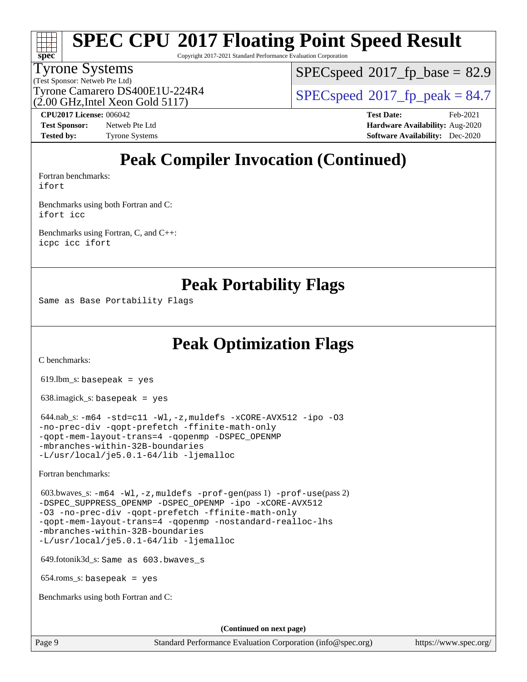# **[spec](http://www.spec.org/)**

# **[SPEC CPU](http://www.spec.org/auto/cpu2017/Docs/result-fields.html#SPECCPU2017FloatingPointSpeedResult)[2017 Floating Point Speed Result](http://www.spec.org/auto/cpu2017/Docs/result-fields.html#SPECCPU2017FloatingPointSpeedResult)**

Copyright 2017-2021 Standard Performance Evaluation Corporation

#### Tyrone Systems

(Test Sponsor: Netweb Pte Ltd) (2.00 GHz,Intel Xeon Gold 5117)  $SPECspeed^{\circledcirc}2017$  $SPECspeed^{\circledcirc}2017$  fp base = 82.9

Tyrone Camarero DS400E1U-224R4  $\vert$  [SPECspeed](http://www.spec.org/auto/cpu2017/Docs/result-fields.html#SPECspeed2017fppeak)®[2017\\_fp\\_peak = 8](http://www.spec.org/auto/cpu2017/Docs/result-fields.html#SPECspeed2017fppeak)4.7

**[Tested by:](http://www.spec.org/auto/cpu2017/Docs/result-fields.html#Testedby)** Tyrone Systems **[Software Availability:](http://www.spec.org/auto/cpu2017/Docs/result-fields.html#SoftwareAvailability)** Dec-2020

**[CPU2017 License:](http://www.spec.org/auto/cpu2017/Docs/result-fields.html#CPU2017License)** 006042 **[Test Date:](http://www.spec.org/auto/cpu2017/Docs/result-fields.html#TestDate)** Feb-2021 **[Test Sponsor:](http://www.spec.org/auto/cpu2017/Docs/result-fields.html#TestSponsor)** Netweb Pte Ltd **[Hardware Availability:](http://www.spec.org/auto/cpu2017/Docs/result-fields.html#HardwareAvailability)** Aug-2020

### **[Peak Compiler Invocation \(Continued\)](http://www.spec.org/auto/cpu2017/Docs/result-fields.html#PeakCompilerInvocation)**

[Fortran benchmarks](http://www.spec.org/auto/cpu2017/Docs/result-fields.html#Fortranbenchmarks): [ifort](http://www.spec.org/cpu2017/results/res2021q1/cpu2017-20210301-25064.flags.html#user_FCpeak_intel_ifort_8111460550e3ca792625aed983ce982f94888b8b503583aa7ba2b8303487b4d8a21a13e7191a45c5fd58ff318f48f9492884d4413fa793fd88dd292cad7027ca)

[Benchmarks using both Fortran and C](http://www.spec.org/auto/cpu2017/Docs/result-fields.html#BenchmarksusingbothFortranandC): [ifort](http://www.spec.org/cpu2017/results/res2021q1/cpu2017-20210301-25064.flags.html#user_CC_FCpeak_intel_ifort_8111460550e3ca792625aed983ce982f94888b8b503583aa7ba2b8303487b4d8a21a13e7191a45c5fd58ff318f48f9492884d4413fa793fd88dd292cad7027ca) [icc](http://www.spec.org/cpu2017/results/res2021q1/cpu2017-20210301-25064.flags.html#user_CC_FCpeak_intel_icc_66fc1ee009f7361af1fbd72ca7dcefbb700085f36577c54f309893dd4ec40d12360134090235512931783d35fd58c0460139e722d5067c5574d8eaf2b3e37e92)

[Benchmarks using Fortran, C, and C++:](http://www.spec.org/auto/cpu2017/Docs/result-fields.html#BenchmarksusingFortranCandCXX) [icpc](http://www.spec.org/cpu2017/results/res2021q1/cpu2017-20210301-25064.flags.html#user_CC_CXX_FCpeak_intel_icpc_c510b6838c7f56d33e37e94d029a35b4a7bccf4766a728ee175e80a419847e808290a9b78be685c44ab727ea267ec2f070ec5dc83b407c0218cded6866a35d07) [icc](http://www.spec.org/cpu2017/results/res2021q1/cpu2017-20210301-25064.flags.html#user_CC_CXX_FCpeak_intel_icc_66fc1ee009f7361af1fbd72ca7dcefbb700085f36577c54f309893dd4ec40d12360134090235512931783d35fd58c0460139e722d5067c5574d8eaf2b3e37e92) [ifort](http://www.spec.org/cpu2017/results/res2021q1/cpu2017-20210301-25064.flags.html#user_CC_CXX_FCpeak_intel_ifort_8111460550e3ca792625aed983ce982f94888b8b503583aa7ba2b8303487b4d8a21a13e7191a45c5fd58ff318f48f9492884d4413fa793fd88dd292cad7027ca)

**[Peak Portability Flags](http://www.spec.org/auto/cpu2017/Docs/result-fields.html#PeakPortabilityFlags)**

Same as Base Portability Flags

**[Peak Optimization Flags](http://www.spec.org/auto/cpu2017/Docs/result-fields.html#PeakOptimizationFlags)**

[C benchmarks](http://www.spec.org/auto/cpu2017/Docs/result-fields.html#Cbenchmarks):

 $619.$ lbm\_s: basepeak = yes

638.imagick\_s: basepeak = yes

 $644.nab$ <sub>s:</sub>  $-m64$   $-std=cl1$   $-Wl$ ,  $-z$ ,  $muldefs$   $-xCORE-AVX512$   $-ipo$   $-03$ [-no-prec-div](http://www.spec.org/cpu2017/results/res2021q1/cpu2017-20210301-25064.flags.html#user_peakCOPTIMIZE644_nab_s_f-no-prec-div) [-qopt-prefetch](http://www.spec.org/cpu2017/results/res2021q1/cpu2017-20210301-25064.flags.html#user_peakCOPTIMIZE644_nab_s_f-qopt-prefetch) [-ffinite-math-only](http://www.spec.org/cpu2017/results/res2021q1/cpu2017-20210301-25064.flags.html#user_peakCOPTIMIZE644_nab_s_f_finite_math_only_cb91587bd2077682c4b38af759c288ed7c732db004271a9512da14a4f8007909a5f1427ecbf1a0fb78ff2a814402c6114ac565ca162485bbcae155b5e4258871) [-qopt-mem-layout-trans=4](http://www.spec.org/cpu2017/results/res2021q1/cpu2017-20210301-25064.flags.html#user_peakCOPTIMIZE644_nab_s_f-qopt-mem-layout-trans_fa39e755916c150a61361b7846f310bcdf6f04e385ef281cadf3647acec3f0ae266d1a1d22d972a7087a248fd4e6ca390a3634700869573d231a252c784941a8) [-qopenmp](http://www.spec.org/cpu2017/results/res2021q1/cpu2017-20210301-25064.flags.html#user_peakCOPTIMIZE644_nab_s_qopenmp_16be0c44f24f464004c6784a7acb94aca937f053568ce72f94b139a11c7c168634a55f6653758ddd83bcf7b8463e8028bb0b48b77bcddc6b78d5d95bb1df2967) [-DSPEC\\_OPENMP](http://www.spec.org/cpu2017/results/res2021q1/cpu2017-20210301-25064.flags.html#suite_peakCOPTIMIZE644_nab_s_DSPEC_OPENMP) [-mbranches-within-32B-boundaries](http://www.spec.org/cpu2017/results/res2021q1/cpu2017-20210301-25064.flags.html#user_peakEXTRA_COPTIMIZE644_nab_s_f-mbranches-within-32B-boundaries) [-L/usr/local/je5.0.1-64/lib](http://www.spec.org/cpu2017/results/res2021q1/cpu2017-20210301-25064.flags.html#user_peakEXTRA_LIBS644_nab_s_jemalloc_link_path64_4b10a636b7bce113509b17f3bd0d6226c5fb2346b9178c2d0232c14f04ab830f976640479e5c33dc2bcbbdad86ecfb6634cbbd4418746f06f368b512fced5394) [-ljemalloc](http://www.spec.org/cpu2017/results/res2021q1/cpu2017-20210301-25064.flags.html#user_peakEXTRA_LIBS644_nab_s_jemalloc_link_lib_d1249b907c500fa1c0672f44f562e3d0f79738ae9e3c4a9c376d49f265a04b9c99b167ecedbf6711b3085be911c67ff61f150a17b3472be731631ba4d0471706)

[Fortran benchmarks](http://www.spec.org/auto/cpu2017/Docs/result-fields.html#Fortranbenchmarks):

 603.bwaves\_s: [-m64](http://www.spec.org/cpu2017/results/res2021q1/cpu2017-20210301-25064.flags.html#user_peakFCLD603_bwaves_s_m64-icc) [-Wl,-z,muldefs](http://www.spec.org/cpu2017/results/res2021q1/cpu2017-20210301-25064.flags.html#user_peakEXTRA_LDFLAGS603_bwaves_s_link_force_multiple1_b4cbdb97b34bdee9ceefcfe54f4c8ea74255f0b02a4b23e853cdb0e18eb4525ac79b5a88067c842dd0ee6996c24547a27a4b99331201badda8798ef8a743f577) [-prof-gen](http://www.spec.org/cpu2017/results/res2021q1/cpu2017-20210301-25064.flags.html#user_peakPASS1_FFLAGSPASS1_LDFLAGS603_bwaves_s_prof_gen_5aa4926d6013ddb2a31985c654b3eb18169fc0c6952a63635c234f711e6e63dd76e94ad52365559451ec499a2cdb89e4dc58ba4c67ef54ca681ffbe1461d6b36)(pass 1) [-prof-use](http://www.spec.org/cpu2017/results/res2021q1/cpu2017-20210301-25064.flags.html#user_peakPASS2_FFLAGSPASS2_LDFLAGS603_bwaves_s_prof_use_1a21ceae95f36a2b53c25747139a6c16ca95bd9def2a207b4f0849963b97e94f5260e30a0c64f4bb623698870e679ca08317ef8150905d41bd88c6f78df73f19)(pass 2) [-DSPEC\\_SUPPRESS\\_OPENMP](http://www.spec.org/cpu2017/results/res2021q1/cpu2017-20210301-25064.flags.html#suite_peakPASS1_FOPTIMIZE603_bwaves_s_DSPEC_SUPPRESS_OPENMP) [-DSPEC\\_OPENMP](http://www.spec.org/cpu2017/results/res2021q1/cpu2017-20210301-25064.flags.html#suite_peakPASS2_FOPTIMIZE603_bwaves_s_DSPEC_OPENMP) [-ipo](http://www.spec.org/cpu2017/results/res2021q1/cpu2017-20210301-25064.flags.html#user_peakPASS1_FOPTIMIZEPASS2_FOPTIMIZE603_bwaves_s_f-ipo) [-xCORE-AVX512](http://www.spec.org/cpu2017/results/res2021q1/cpu2017-20210301-25064.flags.html#user_peakPASS2_FOPTIMIZE603_bwaves_s_f-xCORE-AVX512) [-O3](http://www.spec.org/cpu2017/results/res2021q1/cpu2017-20210301-25064.flags.html#user_peakPASS1_FOPTIMIZEPASS2_FOPTIMIZE603_bwaves_s_f-O3) [-no-prec-div](http://www.spec.org/cpu2017/results/res2021q1/cpu2017-20210301-25064.flags.html#user_peakPASS1_FOPTIMIZEPASS2_FOPTIMIZE603_bwaves_s_f-no-prec-div) [-qopt-prefetch](http://www.spec.org/cpu2017/results/res2021q1/cpu2017-20210301-25064.flags.html#user_peakPASS1_FOPTIMIZEPASS2_FOPTIMIZE603_bwaves_s_f-qopt-prefetch) [-ffinite-math-only](http://www.spec.org/cpu2017/results/res2021q1/cpu2017-20210301-25064.flags.html#user_peakPASS1_FOPTIMIZEPASS2_FOPTIMIZE603_bwaves_s_f_finite_math_only_cb91587bd2077682c4b38af759c288ed7c732db004271a9512da14a4f8007909a5f1427ecbf1a0fb78ff2a814402c6114ac565ca162485bbcae155b5e4258871) [-qopt-mem-layout-trans=4](http://www.spec.org/cpu2017/results/res2021q1/cpu2017-20210301-25064.flags.html#user_peakPASS1_FOPTIMIZEPASS2_FOPTIMIZE603_bwaves_s_f-qopt-mem-layout-trans_fa39e755916c150a61361b7846f310bcdf6f04e385ef281cadf3647acec3f0ae266d1a1d22d972a7087a248fd4e6ca390a3634700869573d231a252c784941a8) [-qopenmp](http://www.spec.org/cpu2017/results/res2021q1/cpu2017-20210301-25064.flags.html#user_peakPASS2_FOPTIMIZE603_bwaves_s_qopenmp_16be0c44f24f464004c6784a7acb94aca937f053568ce72f94b139a11c7c168634a55f6653758ddd83bcf7b8463e8028bb0b48b77bcddc6b78d5d95bb1df2967) [-nostandard-realloc-lhs](http://www.spec.org/cpu2017/results/res2021q1/cpu2017-20210301-25064.flags.html#user_peakEXTRA_FOPTIMIZE603_bwaves_s_f_2003_std_realloc_82b4557e90729c0f113870c07e44d33d6f5a304b4f63d4c15d2d0f1fab99f5daaed73bdb9275d9ae411527f28b936061aa8b9c8f2d63842963b95c9dd6426b8a) [-mbranches-within-32B-boundaries](http://www.spec.org/cpu2017/results/res2021q1/cpu2017-20210301-25064.flags.html#user_peakEXTRA_FOPTIMIZE603_bwaves_s_f-mbranches-within-32B-boundaries) [-L/usr/local/je5.0.1-64/lib](http://www.spec.org/cpu2017/results/res2021q1/cpu2017-20210301-25064.flags.html#user_peakEXTRA_LIBS603_bwaves_s_jemalloc_link_path64_4b10a636b7bce113509b17f3bd0d6226c5fb2346b9178c2d0232c14f04ab830f976640479e5c33dc2bcbbdad86ecfb6634cbbd4418746f06f368b512fced5394) [-ljemalloc](http://www.spec.org/cpu2017/results/res2021q1/cpu2017-20210301-25064.flags.html#user_peakEXTRA_LIBS603_bwaves_s_jemalloc_link_lib_d1249b907c500fa1c0672f44f562e3d0f79738ae9e3c4a9c376d49f265a04b9c99b167ecedbf6711b3085be911c67ff61f150a17b3472be731631ba4d0471706)

649.fotonik3d\_s: Same as 603.bwaves\_s

654.roms\_s: basepeak = yes

[Benchmarks using both Fortran and C](http://www.spec.org/auto/cpu2017/Docs/result-fields.html#BenchmarksusingbothFortranandC):

**(Continued on next page)**